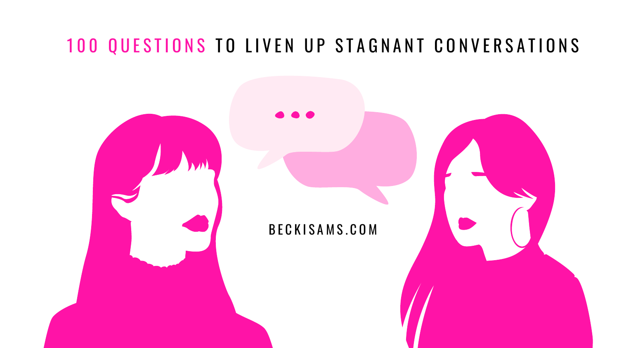# 100 QUESTIONS TO LIVEN UP STAGNANT CONVERSATIONS

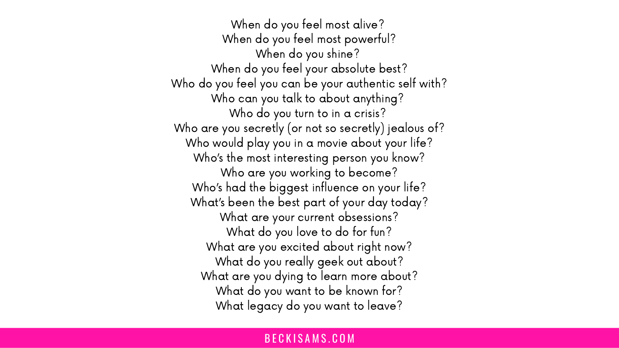When do you feel most alive? When do you feel most powerful? When do you shine? When do you feel your absolute best? Who do you feel you can be your authentic self with? Who can you talk to about anything? Who do you turn to in a crisis? Who are you secretly (or not so secretly) jealous of? Who would play you in a movie about your life? Who's the most interesting person you know? Who are you working to become? Who's had the biggest influence on your life? What's been the best part of your day today? What are your current obsessions? What do you love to do for fun? What are you excited about right now? What do you really geek out about? What are you dying to learn more about? What do you want to be known for? What legacy do you want to leave?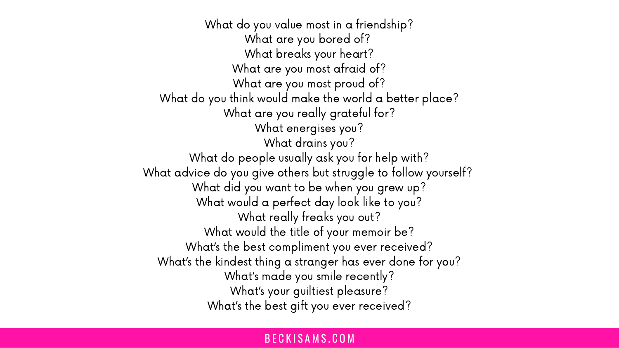What do you value most in a friendship? What are you bored of? What breaks your heart? What are you most afraid of? What are you most proud of? What do you think would make the world a better place? What are you really grateful for? What energises you? What drains you? What do people usually ask you for help with? What advice do you give others but struggle to follow yourself? What did you want to be when you grew up? What would a perfect day look like to you? What really freaks you out? What would the title of your memoir be? What's the best compliment you ever received? What's the kindest thing a stranger has ever done for you? What's made you smile recently? What's your guiltiest pleasure? What's the best gift you ever received?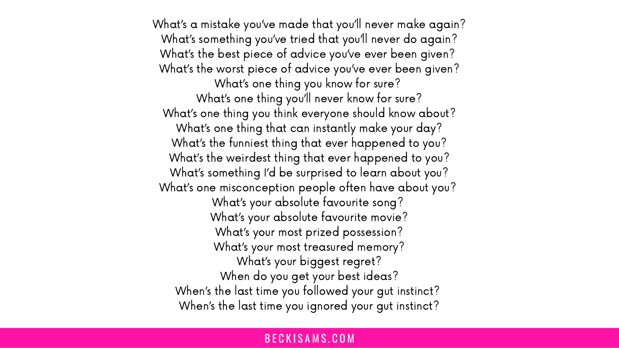What's a mistake you've made that you'll never make again? What's something you've tried that you'll never do again? What's the best piece of advice you've ever been given? What's the worst piece of advice you've ever been given? What's one thing you know for sure? What's one thing you'll never know for sure? What's one thing you think everyone should know about? What's one thing that can instantly make your day? What's the funniest thing that ever happened to you? What's the weirdest thing that ever happened to you? What's something I'd be surprised to learn about you? What's one misconception people often have about you? What's your absolute favourite song? What's your absolute favourite movie? What's your most prized possession? What's your most treasured memory? What's your biggest regret? When do you get your best ideas? When's the last time you followed your gut instinct? When's the last time you ignored your gut instinct?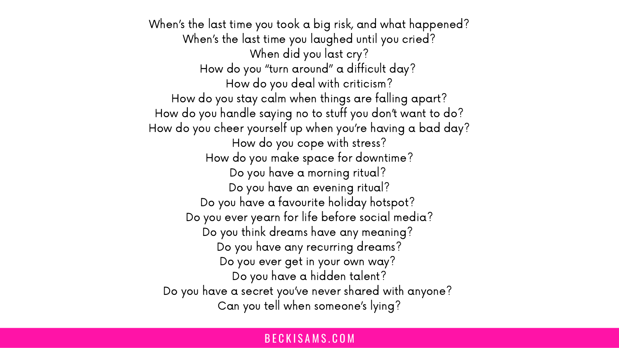When's the last time you took a big risk, and what happened? When's the last time you laughed until you cried? When did you last cry? How do you "turn around" a difficult day? How do you deal with criticism? How do you stay calm when things are falling apart? How do you handle saying no to stuff you don't want to do? How do you cheer yourself up when you're having a bad day? How do you cope with stress? How do you make space for downtime? Do you have a morning ritual? Do you have an evening ritual? Do you have a favourite holiday hotspot? Do you ever yearn for life before social media? Do you think dreams have any meaning? Do you have any recurring dreams? Do you ever get in your own way? Do you have a hidden talent? Do you have a secret you've never shared with anyone? Can you tell when someone's lying?